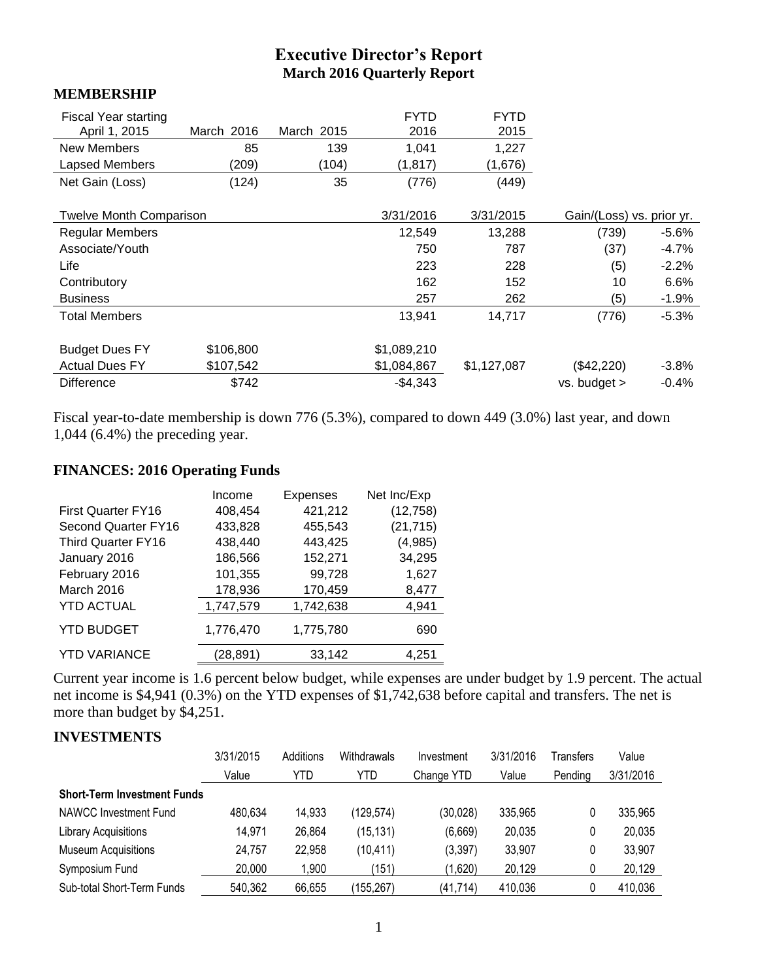# **Executive Director's Report March 2016 Quarterly Report**

#### **MEMBERSHIP**

| <b>Fiscal Year starting</b><br>April 1, 2015 | March 2016 | March 2015 | <b>FYTD</b><br>2016 | <b>FYTD</b><br>2015 |                           |         |
|----------------------------------------------|------------|------------|---------------------|---------------------|---------------------------|---------|
| New Members                                  | 85         | 139        | 1,041               | 1,227               |                           |         |
| Lapsed Members                               | (209)      | (104)      | (1, 817)            | (1,676)             |                           |         |
| Net Gain (Loss)                              | (124)      | 35         | (776)               | (449)               |                           |         |
| <b>Twelve Month Comparison</b>               |            |            | 3/31/2016           | 3/31/2015           | Gain/(Loss) vs. prior yr. |         |
| <b>Regular Members</b>                       |            |            | 12,549              | 13,288              | (739)                     | $-5.6%$ |
| Associate/Youth                              |            |            | 750                 | 787                 | (37)                      | $-4.7%$ |
| Life                                         |            |            | 223                 | 228                 | (5)                       | $-2.2%$ |
| Contributory                                 |            |            | 162                 | 152                 | 10                        | 6.6%    |
| <b>Business</b>                              |            |            | 257                 | 262                 | (5)                       | $-1.9%$ |
| <b>Total Members</b>                         |            |            | 13,941              | 14,717              | (776)                     | $-5.3%$ |
| <b>Budget Dues FY</b>                        | \$106,800  |            | \$1,089,210         |                     |                           |         |
| <b>Actual Dues FY</b>                        | \$107,542  |            | \$1,084,867         | \$1,127,087         | (\$42,220)                | $-3.8%$ |
| <b>Difference</b>                            | \$742      |            | $-$4,343$           |                     | vs. budget >              | $-0.4%$ |

Fiscal year-to-date membership is down 776 (5.3%), compared to down 449 (3.0%) last year, and down 1,044 (6.4%) the preceding year.

#### **FINANCES: 2016 Operating Funds**

|                           | Income    | <b>Expenses</b> | Net Inc/Exp |
|---------------------------|-----------|-----------------|-------------|
| <b>First Quarter FY16</b> | 408,454   | 421,212         | (12, 758)   |
| Second Quarter FY16       | 433,828   | 455,543         | (21, 715)   |
| Third Quarter FY16        | 438,440   | 443,425         | (4,985)     |
| January 2016              | 186,566   | 152,271         | 34,295      |
| February 2016             | 101,355   | 99,728          | 1,627       |
| March 2016                | 178,936   | 170,459         | 8,477       |
| <b>YTD ACTUAL</b>         | 1,747,579 | 1,742,638       | 4,941       |
| <b>YTD BUDGET</b>         | 1,776,470 | 1,775,780       | 690         |
| <b>YTD VARIANCE</b>       | (28,891)  | 33,142          | 4,251       |

Current year income is 1.6 percent below budget, while expenses are under budget by 1.9 percent. The actual net income is \$4,941 (0.3%) on the YTD expenses of \$1,742,638 before capital and transfers. The net is more than budget by \$4,251.

#### **INVESTMENTS**

|                                    | 3/31/2015 | Additions | Withdrawals | Investment | 3/31/2016 | Transfers | Value     |
|------------------------------------|-----------|-----------|-------------|------------|-----------|-----------|-----------|
|                                    | Value     | YTD       | YTD         | Change YTD | Value     | Pendina   | 3/31/2016 |
| <b>Short-Term Investment Funds</b> |           |           |             |            |           |           |           |
| NAWCC Investment Fund              | 480,634   | 14,933    | (129, 574)  | (30, 028)  | 335,965   | 0         | 335,965   |
| <b>Library Acquisitions</b>        | 14,971    | 26,864    | (15, 131)   | (6,669)    | 20,035    | 0         | 20,035    |
| <b>Museum Acquisitions</b>         | 24,757    | 22,958    | (10, 411)   | (3, 397)   | 33,907    | 0         | 33,907    |
| Symposium Fund                     | 20,000    | ,900      | (151)       | (1,620)    | 20,129    | 0         | 20,129    |
| Sub-total Short-Term Funds         | 540,362   | 66,655    | 155,267     | (41, 714)  | 410,036   | 0         | 410,036   |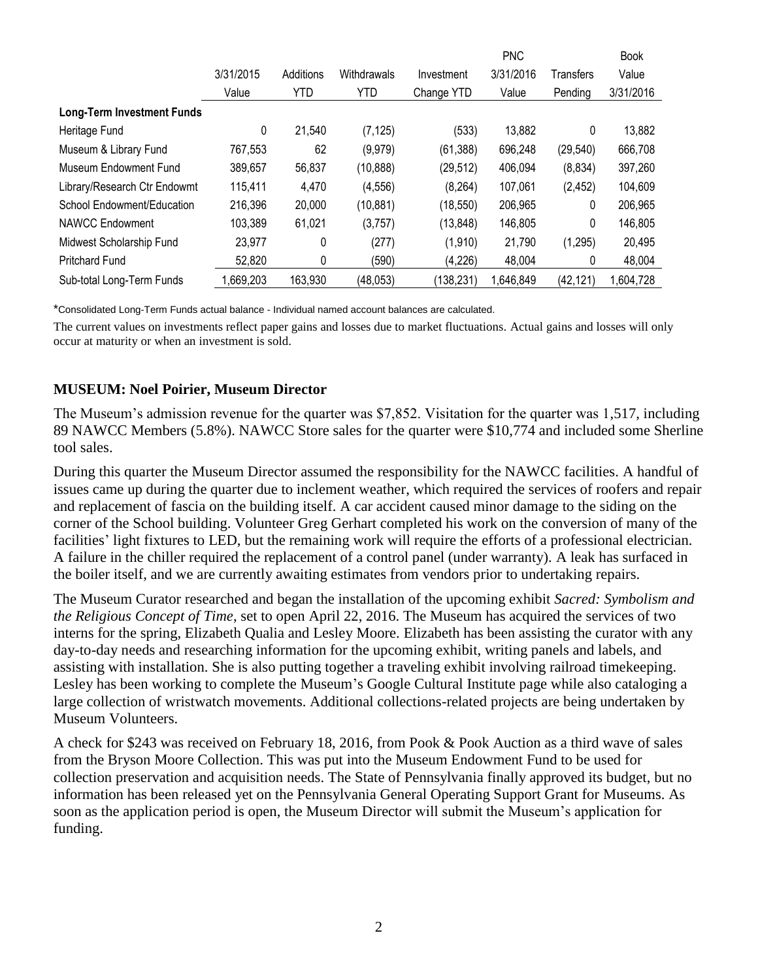|                                   |           |           |             |            | <b>PNC</b> |           | <b>Book</b> |
|-----------------------------------|-----------|-----------|-------------|------------|------------|-----------|-------------|
|                                   | 3/31/2015 | Additions | Withdrawals | Investment | 3/31/2016  | Transfers | Value       |
|                                   | Value     | YTD       | YTD         | Change YTD | Value      | Pendina   | 3/31/2016   |
| <b>Long-Term Investment Funds</b> |           |           |             |            |            |           |             |
| Heritage Fund                     | 0         | 21,540    | (7, 125)    | (533)      | 13,882     | 0         | 13,882      |
| Museum & Library Fund             | 767,553   | 62        | (9,979)     | (61, 388)  | 696,248    | (29, 540) | 666,708     |
| Museum Endowment Fund             | 389,657   | 56,837    | (10, 888)   | (29, 512)  | 406,094    | (8,834)   | 397,260     |
| Library/Research Ctr Endowmt      | 115,411   | 4,470     | (4, 556)    | (8, 264)   | 107,061    | (2, 452)  | 104,609     |
| School Endowment/Education        | 216,396   | 20,000    | (10, 881)   | (18, 550)  | 206,965    | 0         | 206,965     |
| <b>NAWCC Endowment</b>            | 103,389   | 61,021    | (3,757)     | (13, 848)  | 146,805    | 0         | 146,805     |
| Midwest Scholarship Fund          | 23,977    | 0         | (277)       | (1, 910)   | 21,790     | (1,295)   | 20,495      |
| <b>Pritchard Fund</b>             | 52,820    | 0         | (590)       | (4, 226)   | 48,004     | 0         | 48,004      |
| Sub-total Long-Term Funds         | .669,203  | 163,930   | (48, 053)   | (138,231)  | 1,646,849  | (42, 121) | 1,604,728   |

\*Consolidated Long-Term Funds actual balance - Individual named account balances are calculated.

The current values on investments reflect paper gains and losses due to market fluctuations. Actual gains and losses will only occur at maturity or when an investment is sold.

#### **MUSEUM: Noel Poirier, Museum Director**

The Museum's admission revenue for the quarter was \$7,852. Visitation for the quarter was 1,517, including 89 NAWCC Members (5.8%). NAWCC Store sales for the quarter were \$10,774 and included some Sherline tool sales.

During this quarter the Museum Director assumed the responsibility for the NAWCC facilities. A handful of issues came up during the quarter due to inclement weather, which required the services of roofers and repair and replacement of fascia on the building itself. A car accident caused minor damage to the siding on the corner of the School building. Volunteer Greg Gerhart completed his work on the conversion of many of the facilities' light fixtures to LED, but the remaining work will require the efforts of a professional electrician. A failure in the chiller required the replacement of a control panel (under warranty). A leak has surfaced in the boiler itself, and we are currently awaiting estimates from vendors prior to undertaking repairs.

The Museum Curator researched and began the installation of the upcoming exhibit *Sacred: Symbolism and the Religious Concept of Time*, set to open April 22, 2016. The Museum has acquired the services of two interns for the spring, Elizabeth Qualia and Lesley Moore. Elizabeth has been assisting the curator with any day-to-day needs and researching information for the upcoming exhibit, writing panels and labels, and assisting with installation. She is also putting together a traveling exhibit involving railroad timekeeping. Lesley has been working to complete the Museum's Google Cultural Institute page while also cataloging a large collection of wristwatch movements. Additional collections-related projects are being undertaken by Museum Volunteers.

A check for \$243 was received on February 18, 2016, from Pook & Pook Auction as a third wave of sales from the Bryson Moore Collection. This was put into the Museum Endowment Fund to be used for collection preservation and acquisition needs. The State of Pennsylvania finally approved its budget, but no information has been released yet on the Pennsylvania General Operating Support Grant for Museums. As soon as the application period is open, the Museum Director will submit the Museum's application for funding.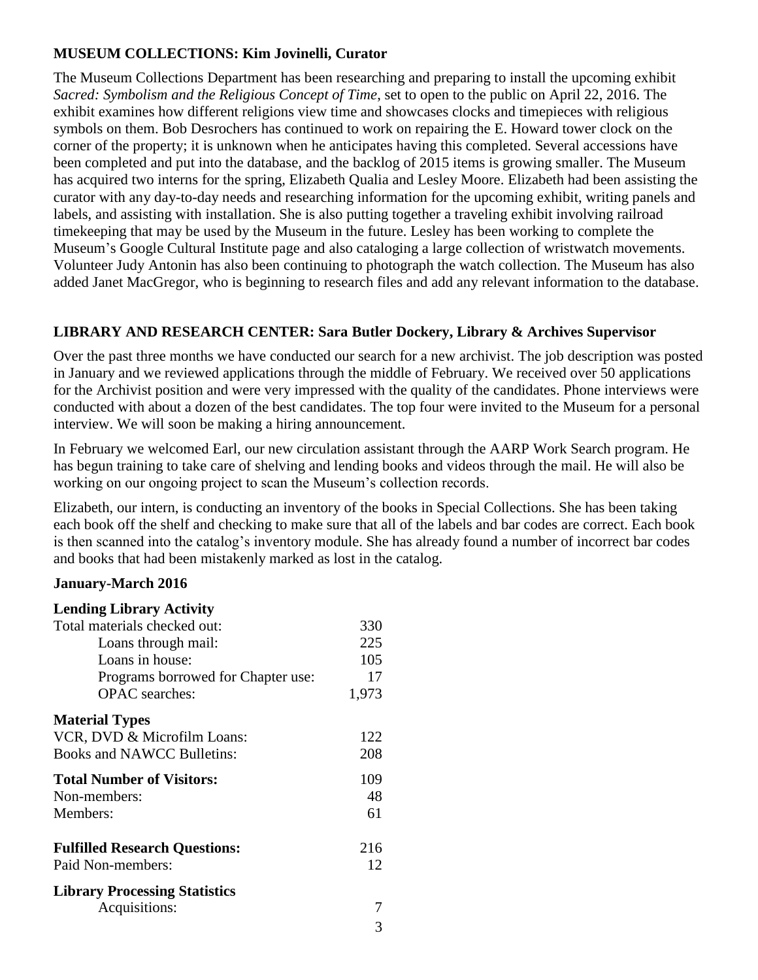# **MUSEUM COLLECTIONS: Kim Jovinelli, Curator**

The Museum Collections Department has been researching and preparing to install the upcoming exhibit *Sacred: Symbolism and the Religious Concept of Time*, set to open to the public on April 22, 2016. The exhibit examines how different religions view time and showcases clocks and timepieces with religious symbols on them. Bob Desrochers has continued to work on repairing the E. Howard tower clock on the corner of the property; it is unknown when he anticipates having this completed. Several accessions have been completed and put into the database, and the backlog of 2015 items is growing smaller. The Museum has acquired two interns for the spring, Elizabeth Qualia and Lesley Moore. Elizabeth had been assisting the curator with any day-to-day needs and researching information for the upcoming exhibit, writing panels and labels, and assisting with installation. She is also putting together a traveling exhibit involving railroad timekeeping that may be used by the Museum in the future. Lesley has been working to complete the Museum's Google Cultural Institute page and also cataloging a large collection of wristwatch movements. Volunteer Judy Antonin has also been continuing to photograph the watch collection. The Museum has also added Janet MacGregor, who is beginning to research files and add any relevant information to the database.

# **LIBRARY AND RESEARCH CENTER: Sara Butler Dockery, Library & Archives Supervisor**

Over the past three months we have conducted our search for a new archivist. The job description was posted in January and we reviewed applications through the middle of February. We received over 50 applications for the Archivist position and were very impressed with the quality of the candidates. Phone interviews were conducted with about a dozen of the best candidates. The top four were invited to the Museum for a personal interview. We will soon be making a hiring announcement.

In February we welcomed Earl, our new circulation assistant through the AARP Work Search program. He has begun training to take care of shelving and lending books and videos through the mail. He will also be working on our ongoing project to scan the Museum's collection records.

Elizabeth, our intern, is conducting an inventory of the books in Special Collections. She has been taking each book off the shelf and checking to make sure that all of the labels and bar codes are correct. Each book is then scanned into the catalog's inventory module. She has already found a number of incorrect bar codes and books that had been mistakenly marked as lost in the catalog.

# **January-March 2016**

| <b>Lending Library Activity</b>      |       |
|--------------------------------------|-------|
| Total materials checked out:         | 330   |
| Loans through mail:                  | 225   |
| Loans in house:                      | 105   |
| Programs borrowed for Chapter use:   | 17    |
| <b>OPAC</b> searches:                | 1,973 |
| <b>Material Types</b>                |       |
| VCR, DVD & Microfilm Loans:          | 122   |
| Books and NAWCC Bulletins:           | 208   |
| <b>Total Number of Visitors:</b>     | 109   |
| Non-members:                         | 48    |
| Members:                             | 61    |
| <b>Fulfilled Research Questions:</b> | 216   |
| Paid Non-members:                    | 12    |
| <b>Library Processing Statistics</b> |       |
| Acquisitions:                        |       |
|                                      | 3     |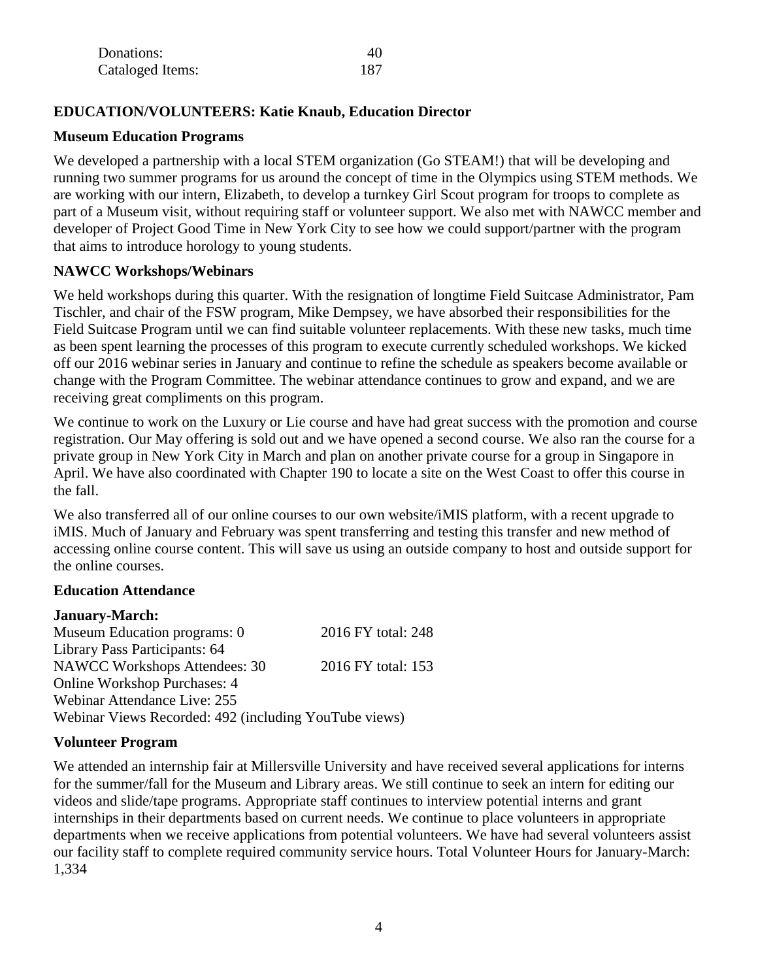| Donations:       | 40  |
|------------------|-----|
| Cataloged Items: | 187 |

# **EDUCATION/VOLUNTEERS: Katie Knaub, Education Director**

## **Museum Education Programs**

We developed a partnership with a local STEM organization (Go STEAM!) that will be developing and running two summer programs for us around the concept of time in the Olympics using STEM methods. We are working with our intern, Elizabeth, to develop a turnkey Girl Scout program for troops to complete as part of a Museum visit, without requiring staff or volunteer support. We also met with NAWCC member and developer of Project Good Time in New York City to see how we could support/partner with the program that aims to introduce horology to young students.

## **NAWCC Workshops/Webinars**

We held workshops during this quarter. With the resignation of longtime Field Suitcase Administrator, Pam Tischler, and chair of the FSW program, Mike Dempsey, we have absorbed their responsibilities for the Field Suitcase Program until we can find suitable volunteer replacements. With these new tasks, much time as been spent learning the processes of this program to execute currently scheduled workshops. We kicked off our 2016 webinar series in January and continue to refine the schedule as speakers become available or change with the Program Committee. The webinar attendance continues to grow and expand, and we are receiving great compliments on this program.

We continue to work on the Luxury or Lie course and have had great success with the promotion and course registration. Our May offering is sold out and we have opened a second course. We also ran the course for a private group in New York City in March and plan on another private course for a group in Singapore in April. We have also coordinated with Chapter 190 to locate a site on the West Coast to offer this course in the fall.

We also transferred all of our online courses to our own website/iMIS platform, with a recent upgrade to iMIS. Much of January and February was spent transferring and testing this transfer and new method of accessing online course content. This will save us using an outside company to host and outside support for the online courses.

### **Education Attendance**

### **January-March:**

Museum Education programs: 0 2016 FY total: 248 Library Pass Participants: 64 NAWCC Workshops Attendees: 30 2016 FY total: 153 Online Workshop Purchases: 4 Webinar Attendance Live: 255 Webinar Views Recorded: 492 (including YouTube views)

# **Volunteer Program**

We attended an internship fair at Millersville University and have received several applications for interns for the summer/fall for the Museum and Library areas. We still continue to seek an intern for editing our videos and slide/tape programs. Appropriate staff continues to interview potential interns and grant internships in their departments based on current needs. We continue to place volunteers in appropriate departments when we receive applications from potential volunteers. We have had several volunteers assist our facility staff to complete required community service hours. Total Volunteer Hours for January-March: 1,334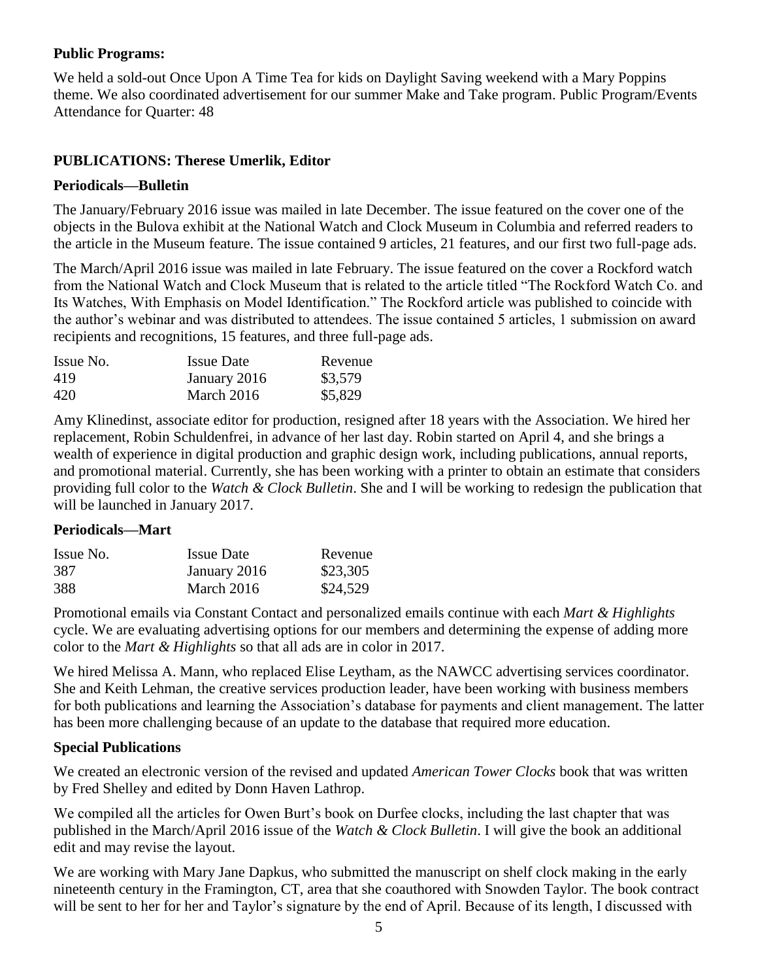### **Public Programs:**

We held a sold-out Once Upon A Time Tea for kids on Daylight Saving weekend with a Mary Poppins theme. We also coordinated advertisement for our summer Make and Take program. Public Program/Events Attendance for Quarter: 48

## **PUBLICATIONS: Therese Umerlik, Editor**

### **Periodicals—Bulletin**

The January/February 2016 issue was mailed in late December. The issue featured on the cover one of the objects in the Bulova exhibit at the National Watch and Clock Museum in Columbia and referred readers to the article in the Museum feature. The issue contained 9 articles, 21 features, and our first two full-page ads.

The March/April 2016 issue was mailed in late February. The issue featured on the cover a Rockford watch from the National Watch and Clock Museum that is related to the article titled "The Rockford Watch Co. and Its Watches, With Emphasis on Model Identification." The Rockford article was published to coincide with the author's webinar and was distributed to attendees. The issue contained 5 articles, 1 submission on award recipients and recognitions, 15 features, and three full-page ads.

| Issue No. | <b>Issue Date</b> | Revenue |
|-----------|-------------------|---------|
| 419       | January 2016      | \$3,579 |
| 420       | March 2016        | \$5,829 |

Amy Klinedinst, associate editor for production, resigned after 18 years with the Association. We hired her replacement, Robin Schuldenfrei, in advance of her last day. Robin started on April 4, and she brings a wealth of experience in digital production and graphic design work, including publications, annual reports, and promotional material. Currently, she has been working with a printer to obtain an estimate that considers providing full color to the *Watch & Clock Bulletin*. She and I will be working to redesign the publication that will be launched in January 2017.

### **Periodicals—Mart**

| Issue No. | <b>Issue Date</b> | Revenue  |
|-----------|-------------------|----------|
| 387       | January 2016      | \$23,305 |
| 388       | March 2016        | \$24,529 |

Promotional emails via Constant Contact and personalized emails continue with each *Mart & Highlights* cycle. We are evaluating advertising options for our members and determining the expense of adding more color to the *Mart & Highlights* so that all ads are in color in 2017.

We hired Melissa A. Mann, who replaced Elise Leytham, as the NAWCC advertising services coordinator. She and Keith Lehman, the creative services production leader, have been working with business members for both publications and learning the Association's database for payments and client management. The latter has been more challenging because of an update to the database that required more education.

### **Special Publications**

We created an electronic version of the revised and updated *American Tower Clocks* book that was written by Fred Shelley and edited by Donn Haven Lathrop.

We compiled all the articles for Owen Burt's book on Durfee clocks, including the last chapter that was published in the March/April 2016 issue of the *Watch & Clock Bulletin*. I will give the book an additional edit and may revise the layout.

We are working with Mary Jane Dapkus, who submitted the manuscript on shelf clock making in the early nineteenth century in the Framington, CT, area that she coauthored with Snowden Taylor. The book contract will be sent to her for her and Taylor's signature by the end of April. Because of its length, I discussed with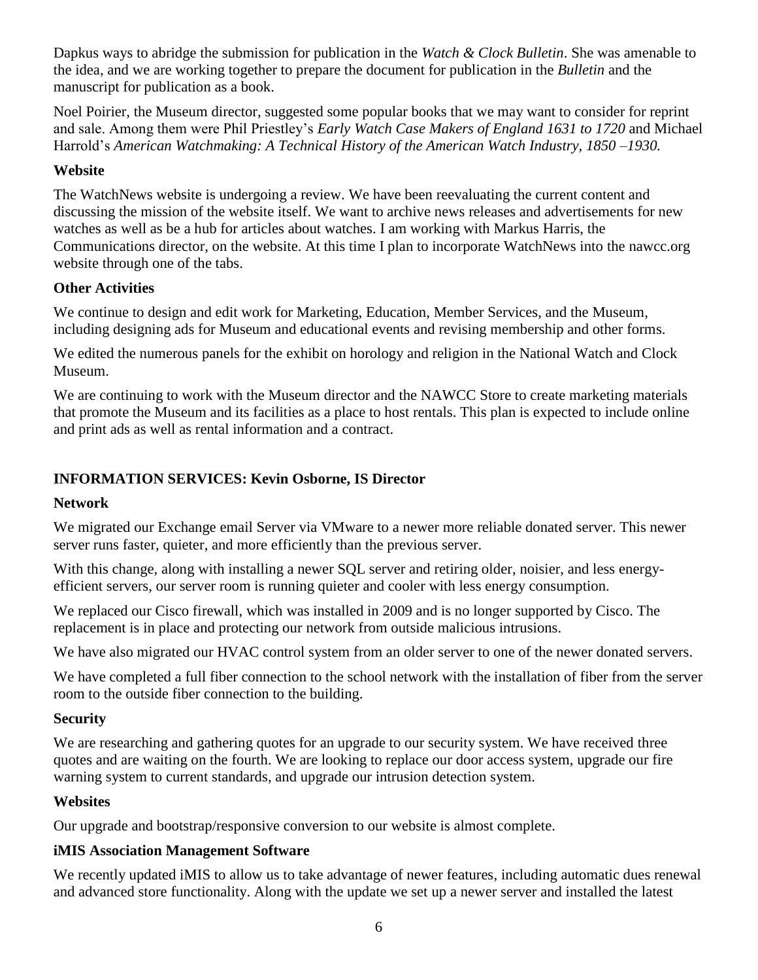Dapkus ways to abridge the submission for publication in the *Watch & Clock Bulletin*. She was amenable to the idea, and we are working together to prepare the document for publication in the *Bulletin* and the manuscript for publication as a book.

Noel Poirier, the Museum director, suggested some popular books that we may want to consider for reprint and sale. Among them were Phil Priestley's *Early Watch Case Makers of England 1631 to 1720* and Michael Harrold's *American Watchmaking: A Technical History of the American Watch Industry, 1850 –1930.*

# **Website**

The WatchNews website is undergoing a review. We have been reevaluating the current content and discussing the mission of the website itself. We want to archive news releases and advertisements for new watches as well as be a hub for articles about watches. I am working with Markus Harris, the Communications director, on the website. At this time I plan to incorporate WatchNews into the nawcc.org website through one of the tabs.

## **Other Activities**

We continue to design and edit work for Marketing, Education, Member Services, and the Museum, including designing ads for Museum and educational events and revising membership and other forms.

We edited the numerous panels for the exhibit on horology and religion in the National Watch and Clock Museum.

We are continuing to work with the Museum director and the NAWCC Store to create marketing materials that promote the Museum and its facilities as a place to host rentals. This plan is expected to include online and print ads as well as rental information and a contract.

# **INFORMATION SERVICES: Kevin Osborne, IS Director**

### **Network**

We migrated our Exchange email Server via VMware to a newer more reliable donated server. This newer server runs faster, quieter, and more efficiently than the previous server.

With this change, along with installing a newer SOL server and retiring older, noisier, and less energyefficient servers, our server room is running quieter and cooler with less energy consumption.

We replaced our Cisco firewall, which was installed in 2009 and is no longer supported by Cisco. The replacement is in place and protecting our network from outside malicious intrusions.

We have also migrated our HVAC control system from an older server to one of the newer donated servers.

We have completed a full fiber connection to the school network with the installation of fiber from the server room to the outside fiber connection to the building.

# **Security**

We are researching and gathering quotes for an upgrade to our security system. We have received three quotes and are waiting on the fourth. We are looking to replace our door access system, upgrade our fire warning system to current standards, and upgrade our intrusion detection system.

### **Websites**

Our upgrade and bootstrap/responsive conversion to our website is almost complete.

# **iMIS Association Management Software**

We recently updated *iMIS* to allow us to take advantage of newer features, including automatic dues renewal and advanced store functionality. Along with the update we set up a newer server and installed the latest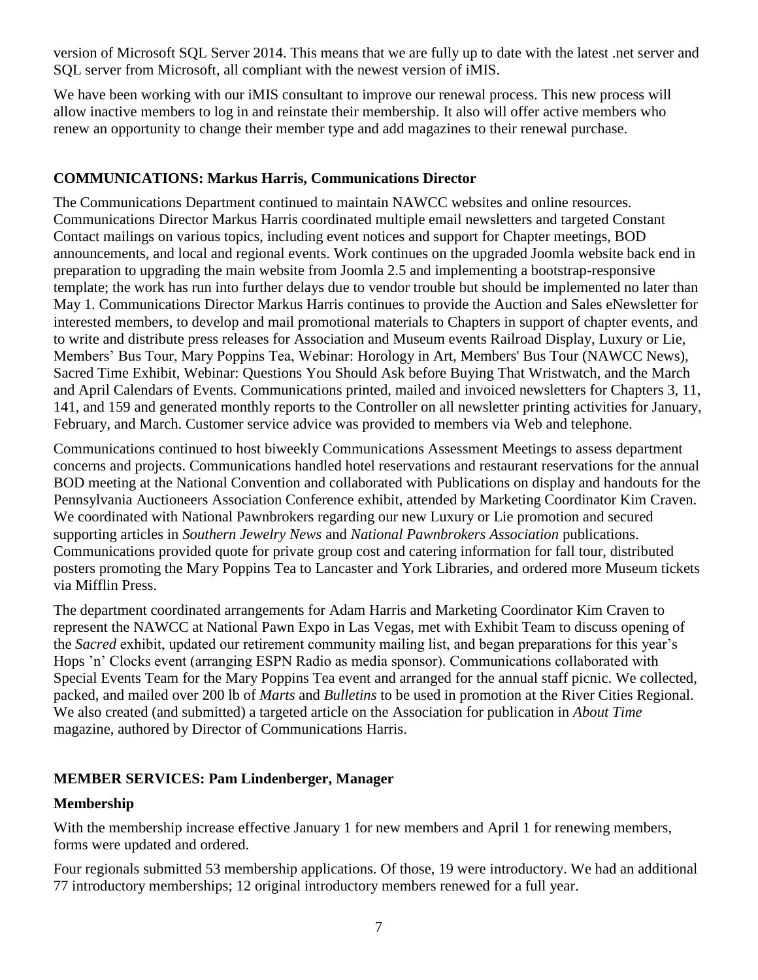version of Microsoft SQL Server 2014. This means that we are fully up to date with the latest .net server and SQL server from Microsoft, all compliant with the newest version of iMIS.

We have been working with our iMIS consultant to improve our renewal process. This new process will allow inactive members to log in and reinstate their membership. It also will offer active members who renew an opportunity to change their member type and add magazines to their renewal purchase.

### **COMMUNICATIONS: Markus Harris, Communications Director**

The Communications Department continued to maintain NAWCC websites and online resources. Communications Director Markus Harris coordinated multiple email newsletters and targeted Constant Contact mailings on various topics, including event notices and support for Chapter meetings, BOD announcements, and local and regional events. Work continues on the upgraded Joomla website back end in preparation to upgrading the main website from Joomla 2.5 and implementing a bootstrap-responsive template; the work has run into further delays due to vendor trouble but should be implemented no later than May 1. Communications Director Markus Harris continues to provide the Auction and Sales eNewsletter for interested members, to develop and mail promotional materials to Chapters in support of chapter events, and to write and distribute press releases for Association and Museum events Railroad Display, Luxury or Lie, Members' Bus Tour, Mary Poppins Tea, Webinar: Horology in Art, Members' Bus Tour (NAWCC News), Sacred Time Exhibit, Webinar: Questions You Should Ask before Buying That Wristwatch, and the March and April Calendars of Events. Communications printed, mailed and invoiced newsletters for Chapters 3, 11, 141, and 159 and generated monthly reports to the Controller on all newsletter printing activities for January, February, and March. Customer service advice was provided to members via Web and telephone.

Communications continued to host biweekly Communications Assessment Meetings to assess department concerns and projects. Communications handled hotel reservations and restaurant reservations for the annual BOD meeting at the National Convention and collaborated with Publications on display and handouts for the Pennsylvania Auctioneers Association Conference exhibit, attended by Marketing Coordinator Kim Craven. We coordinated with National Pawnbrokers regarding our new Luxury or Lie promotion and secured supporting articles in *Southern Jewelry News* and *National Pawnbrokers Association* publications. Communications provided quote for private group cost and catering information for fall tour, distributed posters promoting the Mary Poppins Tea to Lancaster and York Libraries, and ordered more Museum tickets via Mifflin Press.

The department coordinated arrangements for Adam Harris and Marketing Coordinator Kim Craven to represent the NAWCC at National Pawn Expo in Las Vegas, met with Exhibit Team to discuss opening of the *Sacred* exhibit, updated our retirement community mailing list, and began preparations for this year's Hops 'n' Clocks event (arranging ESPN Radio as media sponsor). Communications collaborated with Special Events Team for the Mary Poppins Tea event and arranged for the annual staff picnic. We collected, packed, and mailed over 200 lb of *Marts* and *Bulletins* to be used in promotion at the River Cities Regional. We also created (and submitted) a targeted article on the Association for publication in *About Time* magazine, authored by Director of Communications Harris.

# **MEMBER SERVICES: Pam Lindenberger, Manager**

### **Membership**

With the membership increase effective January 1 for new members and April 1 for renewing members, forms were updated and ordered.

Four regionals submitted 53 membership applications. Of those, 19 were introductory. We had an additional 77 introductory memberships; 12 original introductory members renewed for a full year.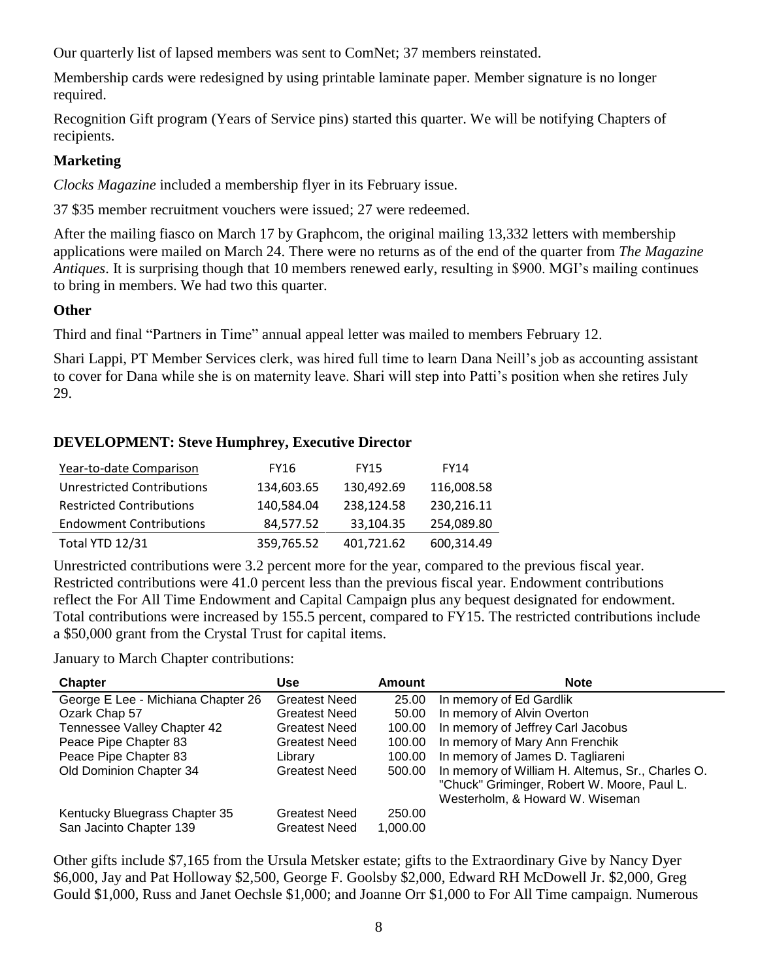Our quarterly list of lapsed members was sent to ComNet; 37 members reinstated.

Membership cards were redesigned by using printable laminate paper. Member signature is no longer required.

Recognition Gift program (Years of Service pins) started this quarter. We will be notifying Chapters of recipients.

## **Marketing**

*Clocks Magazine* included a membership flyer in its February issue.

37 \$35 member recruitment vouchers were issued; 27 were redeemed.

After the mailing fiasco on March 17 by Graphcom, the original mailing 13,332 letters with membership applications were mailed on March 24. There were no returns as of the end of the quarter from *The Magazine Antiques*. It is surprising though that 10 members renewed early, resulting in \$900. MGI's mailing continues to bring in members. We had two this quarter.

## **Other**

Third and final "Partners in Time" annual appeal letter was mailed to members February 12.

Shari Lappi, PT Member Services clerk, was hired full time to learn Dana Neill's job as accounting assistant to cover for Dana while she is on maternity leave. Shari will step into Patti's position when she retires July 29.

# **DEVELOPMENT: Steve Humphrey, Executive Director**

| Year-to-date Comparison           | <b>FY16</b> | <b>FY15</b> | <b>FY14</b> |
|-----------------------------------|-------------|-------------|-------------|
| <b>Unrestricted Contributions</b> | 134,603.65  | 130,492.69  | 116,008.58  |
| <b>Restricted Contributions</b>   | 140,584.04  | 238,124.58  | 230,216.11  |
| <b>Endowment Contributions</b>    | 84,577.52   | 33,104.35   | 254,089.80  |
| Total YTD 12/31                   | 359,765.52  | 401,721.62  | 600,314.49  |

Unrestricted contributions were 3.2 percent more for the year, compared to the previous fiscal year. Restricted contributions were 41.0 percent less than the previous fiscal year. Endowment contributions reflect the For All Time Endowment and Capital Campaign plus any bequest designated for endowment. Total contributions were increased by 155.5 percent, compared to FY15. The restricted contributions include a \$50,000 grant from the Crystal Trust for capital items.

January to March Chapter contributions:

| <b>Chapter</b>                     | Use                  | <b>Amount</b> | <b>Note</b>                                      |
|------------------------------------|----------------------|---------------|--------------------------------------------------|
| George E Lee - Michiana Chapter 26 | <b>Greatest Need</b> | 25.00         | In memory of Ed Gardlik                          |
| Ozark Chap 57                      | <b>Greatest Need</b> | 50.00         | In memory of Alvin Overton                       |
| Tennessee Valley Chapter 42        | Greatest Need        | 100.00        | In memory of Jeffrey Carl Jacobus                |
| Peace Pipe Chapter 83              | <b>Greatest Need</b> | 100.00        | In memory of Mary Ann Frenchik                   |
| Peace Pipe Chapter 83              | Library              | 100.00        | In memory of James D. Tagliareni                 |
| Old Dominion Chapter 34            | <b>Greatest Need</b> | 500.00        | In memory of William H. Altemus, Sr., Charles O. |
|                                    |                      |               | "Chuck" Griminger, Robert W. Moore, Paul L.      |
|                                    |                      |               | Westerholm, & Howard W. Wiseman                  |
| Kentucky Bluegrass Chapter 35      | <b>Greatest Need</b> | 250.00        |                                                  |
| San Jacinto Chapter 139            | <b>Greatest Need</b> | 1,000.00      |                                                  |

Other gifts include \$7,165 from the Ursula Metsker estate; gifts to the Extraordinary Give by Nancy Dyer \$6,000, Jay and Pat Holloway \$2,500, George F. Goolsby \$2,000, Edward RH McDowell Jr. \$2,000, Greg Gould \$1,000, Russ and Janet Oechsle \$1,000; and Joanne Orr \$1,000 to For All Time campaign. Numerous